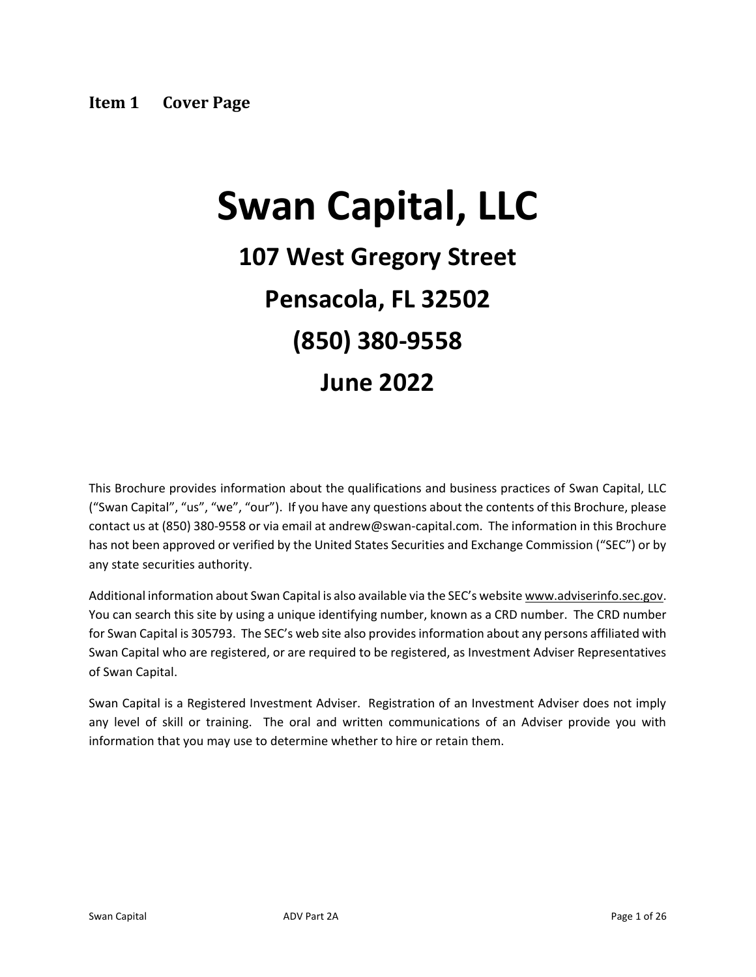# <span id="page-0-0"></span>**Swan Capital, LLC**

## **107 West Gregory Street Pensacola, FL 32502 (850) 380-9558 June 2022**

This Brochure provides information about the qualifications and business practices of Swan Capital, LLC ("Swan Capital", "us", "we", "our"). If you have any questions about the contents of this Brochure, please contact us at (850) 380-9558 or via email at andrew@swan-capital.com. The information in this Brochure has not been approved or verified by the United States Securities and Exchange Commission ("SEC") or by any state securities authority.

Additional information about Swan Capital is also available via the SEC's website www.adviserinfo.sec.gov. You can search this site by using a unique identifying number, known as a CRD number. The CRD number for Swan Capital is 305793. The SEC's web site also provides information about any persons affiliated with Swan Capital who are registered, or are required to be registered, as Investment Adviser Representatives of Swan Capital.

Swan Capital is a Registered Investment Adviser. Registration of an Investment Adviser does not imply any level of skill or training. The oral and written communications of an Adviser provide you with information that you may use to determine whether to hire or retain them.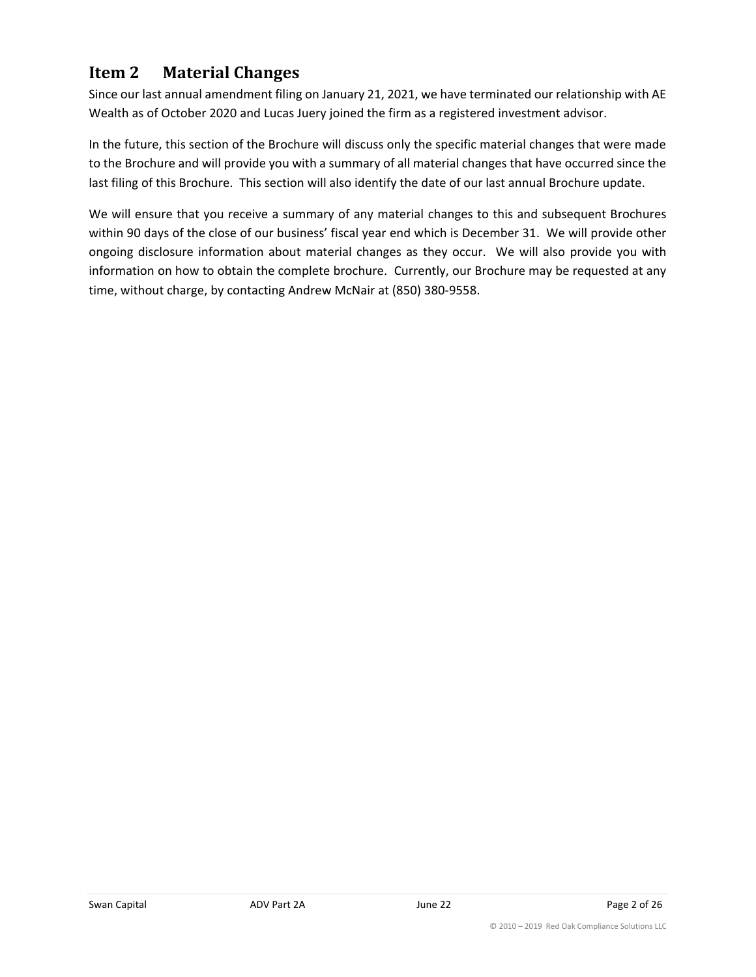## <span id="page-1-0"></span>**Item 2 Material Changes**

Since our last annual amendment filing on January 21, 2021, we have terminated our relationship with AE Wealth as of October 2020 and Lucas Juery joined the firm as a registered investment advisor.

In the future, this section of the Brochure will discuss only the specific material changes that were made to the Brochure and will provide you with a summary of all material changes that have occurred since the last filing of this Brochure. This section will also identify the date of our last annual Brochure update.

We will ensure that you receive a summary of any material changes to this and subsequent Brochures within 90 days of the close of our business' fiscal year end which is December 31. We will provide other ongoing disclosure information about material changes as they occur. We will also provide you with information on how to obtain the complete brochure. Currently, our Brochure may be requested at any time, without charge, by contacting Andrew McNair at (850) 380-9558.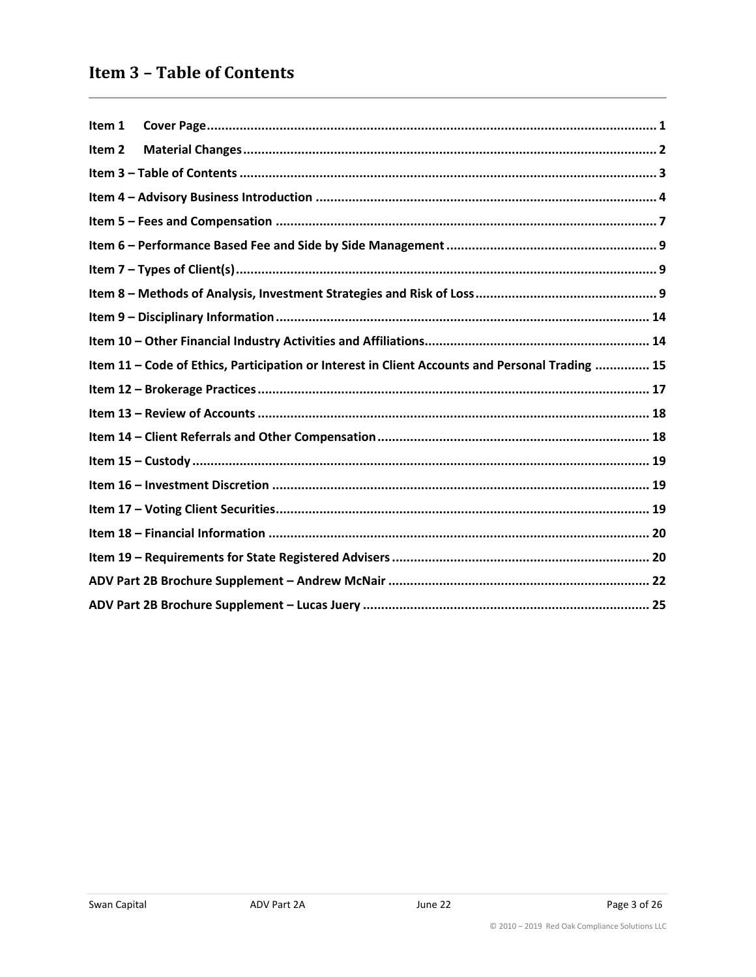## <span id="page-2-0"></span>**Item 3 - Table of Contents**

| Item 1            |                                                                                                 |
|-------------------|-------------------------------------------------------------------------------------------------|
| Item <sub>2</sub> |                                                                                                 |
|                   |                                                                                                 |
|                   |                                                                                                 |
|                   |                                                                                                 |
|                   |                                                                                                 |
|                   |                                                                                                 |
|                   |                                                                                                 |
|                   |                                                                                                 |
|                   |                                                                                                 |
|                   | Item 11 - Code of Ethics, Participation or Interest in Client Accounts and Personal Trading  15 |
|                   |                                                                                                 |
|                   |                                                                                                 |
|                   |                                                                                                 |
|                   |                                                                                                 |
|                   |                                                                                                 |
|                   |                                                                                                 |
|                   |                                                                                                 |
|                   |                                                                                                 |
|                   |                                                                                                 |
|                   |                                                                                                 |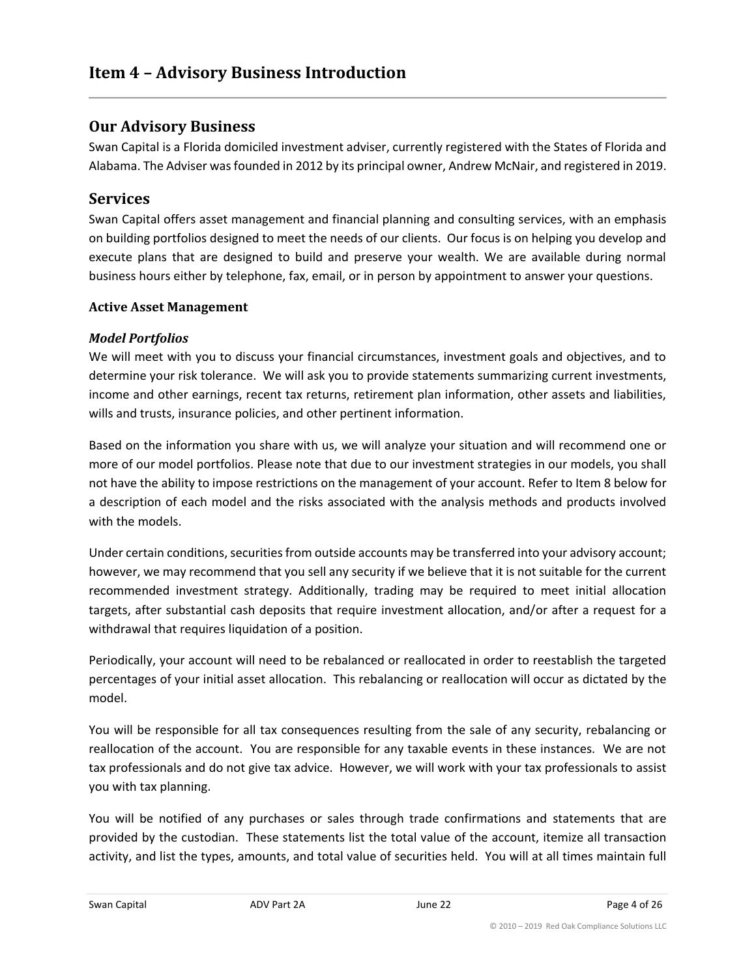## <span id="page-3-0"></span>**Our Advisory Business**

Swan Capital is a Florida domiciled investment adviser, currently registered with the States of Florida and Alabama. The Adviser was founded in 2012 by its principal owner, Andrew McNair, and registered in 2019.

## **Services**

Swan Capital offers asset management and financial planning and consulting services, with an emphasis on building portfolios designed to meet the needs of our clients. Our focus is on helping you develop and execute plans that are designed to build and preserve your wealth. We are available during normal business hours either by telephone, fax, email, or in person by appointment to answer your questions.

#### **Active Asset Management**

#### *Model Portfolios*

We will meet with you to discuss your financial circumstances, investment goals and objectives, and to determine your risk tolerance. We will ask you to provide statements summarizing current investments, income and other earnings, recent tax returns, retirement plan information, other assets and liabilities, wills and trusts, insurance policies, and other pertinent information.

Based on the information you share with us, we will analyze your situation and will recommend one or more of our model portfolios. Please note that due to our investment strategies in our models, you shall not have the ability to impose restrictions on the management of your account. Refer to Item 8 below for a description of each model and the risks associated with the analysis methods and products involved with the models.

Under certain conditions, securities from outside accounts may be transferred into your advisory account; however, we may recommend that you sell any security if we believe that it is not suitable for the current recommended investment strategy. Additionally, trading may be required to meet initial allocation targets, after substantial cash deposits that require investment allocation, and/or after a request for a withdrawal that requires liquidation of a position.

Periodically, your account will need to be rebalanced or reallocated in order to reestablish the targeted percentages of your initial asset allocation. This rebalancing or reallocation will occur as dictated by the model.

You will be responsible for all tax consequences resulting from the sale of any security, rebalancing or reallocation of the account. You are responsible for any taxable events in these instances. We are not tax professionals and do not give tax advice. However, we will work with your tax professionals to assist you with tax planning.

You will be notified of any purchases or sales through trade confirmations and statements that are provided by the custodian. These statements list the total value of the account, itemize all transaction activity, and list the types, amounts, and total value of securities held. You will at all times maintain full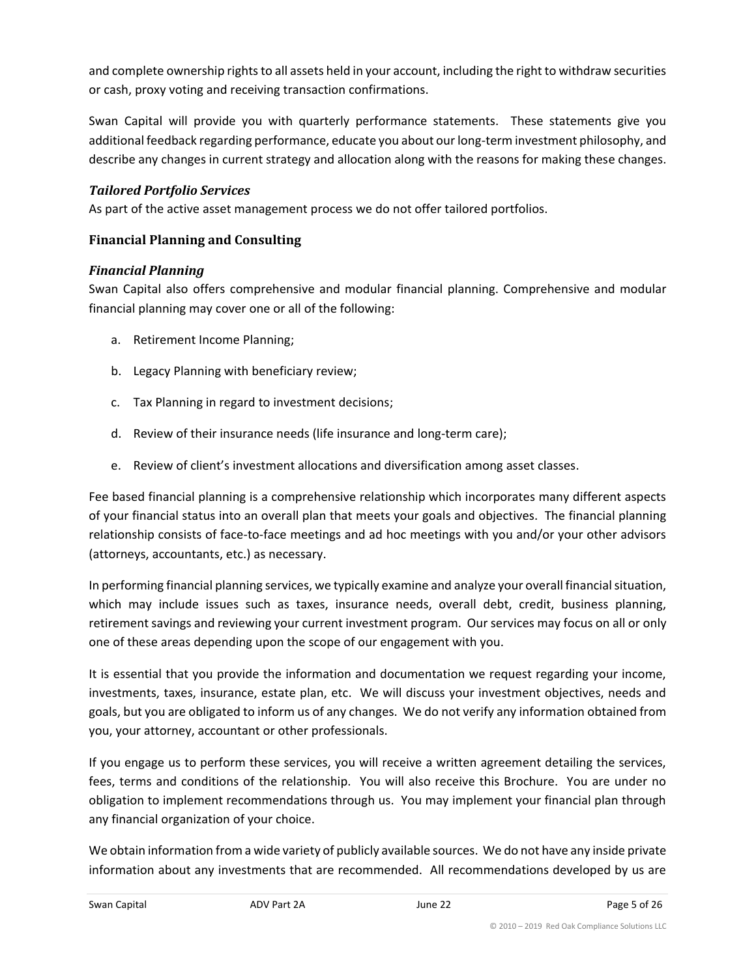and complete ownership rights to all assets held in your account, including the right to withdraw securities or cash, proxy voting and receiving transaction confirmations.

Swan Capital will provide you with quarterly performance statements. These statements give you additional feedback regarding performance, educate you about our long-term investment philosophy, and describe any changes in current strategy and allocation along with the reasons for making these changes.

#### *Tailored Portfolio Services*

As part of the active asset management process we do not offer tailored portfolios.

#### **Financial Planning and Consulting**

#### *Financial Planning*

Swan Capital also offers comprehensive and modular financial planning. Comprehensive and modular financial planning may cover one or all of the following:

- a. Retirement Income Planning;
- b. Legacy Planning with beneficiary review;
- c. Tax Planning in regard to investment decisions;
- d. Review of their insurance needs (life insurance and long-term care);
- e. Review of client's investment allocations and diversification among asset classes.

Fee based financial planning is a comprehensive relationship which incorporates many different aspects of your financial status into an overall plan that meets your goals and objectives. The financial planning relationship consists of face-to-face meetings and ad hoc meetings with you and/or your other advisors (attorneys, accountants, etc.) as necessary.

In performing financial planning services, we typically examine and analyze your overall financial situation, which may include issues such as taxes, insurance needs, overall debt, credit, business planning, retirement savings and reviewing your current investment program. Our services may focus on all or only one of these areas depending upon the scope of our engagement with you.

It is essential that you provide the information and documentation we request regarding your income, investments, taxes, insurance, estate plan, etc. We will discuss your investment objectives, needs and goals, but you are obligated to inform us of any changes. We do not verify any information obtained from you, your attorney, accountant or other professionals.

If you engage us to perform these services, you will receive a written agreement detailing the services, fees, terms and conditions of the relationship. You will also receive this Brochure. You are under no obligation to implement recommendations through us. You may implement your financial plan through any financial organization of your choice.

We obtain information from a wide variety of publicly available sources. We do not have any inside private information about any investments that are recommended. All recommendations developed by us are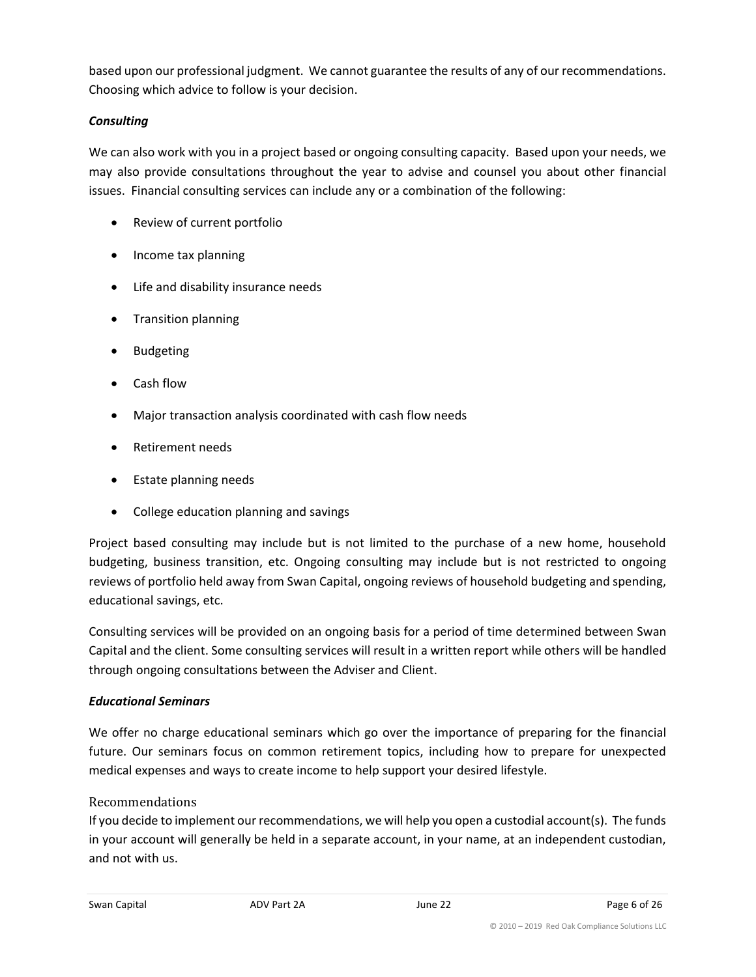based upon our professional judgment. We cannot guarantee the results of any of our recommendations. Choosing which advice to follow is your decision.

#### *Consulting*

We can also work with you in a project based or ongoing consulting capacity. Based upon your needs, we may also provide consultations throughout the year to advise and counsel you about other financial issues. Financial consulting services can include any or a combination of the following:

- Review of current portfolio
- Income tax planning
- Life and disability insurance needs
- Transition planning
- Budgeting
- Cash flow
- Major transaction analysis coordinated with cash flow needs
- Retirement needs
- Estate planning needs
- College education planning and savings

Project based consulting may include but is not limited to the purchase of a new home, household budgeting, business transition, etc. Ongoing consulting may include but is not restricted to ongoing reviews of portfolio held away from Swan Capital, ongoing reviews of household budgeting and spending, educational savings, etc.

Consulting services will be provided on an ongoing basis for a period of time determined between Swan Capital and the client. Some consulting services will result in a written report while others will be handled through ongoing consultations between the Adviser and Client.

#### *Educational Seminars*

We offer no charge educational seminars which go over the importance of preparing for the financial future. Our seminars focus on common retirement topics, including how to prepare for unexpected medical expenses and ways to create income to help support your desired lifestyle.

#### Recommendations

If you decide to implement our recommendations, we will help you open a custodial account(s). The funds in your account will generally be held in a separate account, in your name, at an independent custodian, and not with us.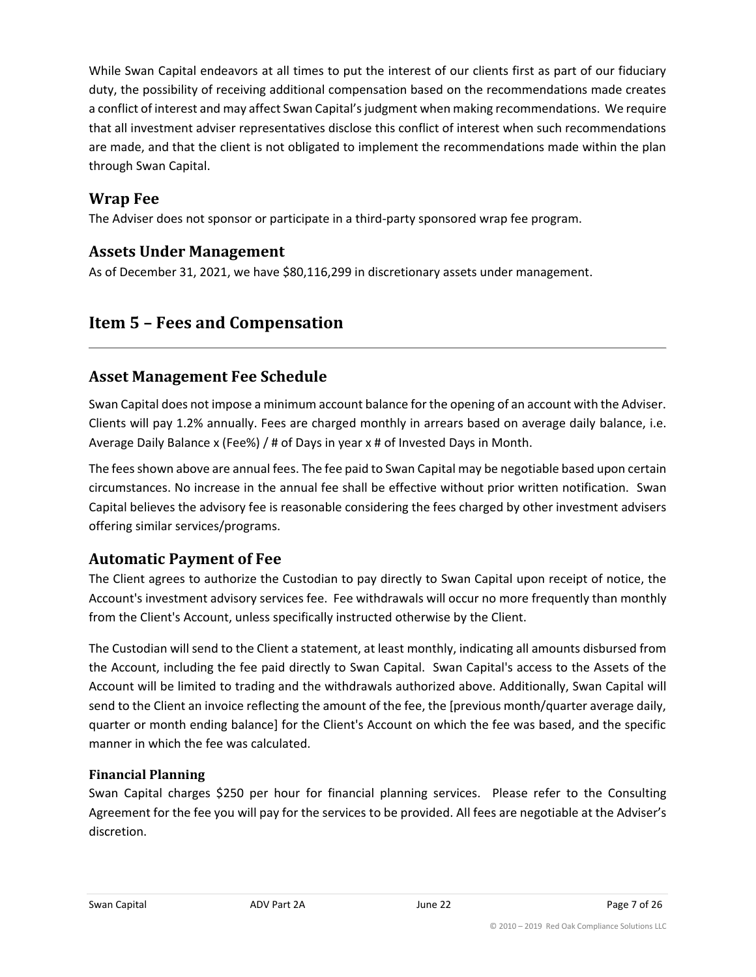While Swan Capital endeavors at all times to put the interest of our clients first as part of our fiduciary duty, the possibility of receiving additional compensation based on the recommendations made creates a conflict of interest and may affect Swan Capital's judgment when making recommendations. We require that all investment adviser representatives disclose this conflict of interest when such recommendations are made, and that the client is not obligated to implement the recommendations made within the plan through Swan Capital.

## **Wrap Fee**

The Adviser does not sponsor or participate in a third-party sponsored wrap fee program.

## **Assets Under Management**

As of December 31, 2021, we have \$80,116,299 in discretionary assets under management.

## <span id="page-6-0"></span>**Item 5 – Fees and Compensation**

## **Asset Management Fee Schedule**

Swan Capital does not impose a minimum account balance for the opening of an account with the Adviser. Clients will pay 1.2% annually. Fees are charged monthly in arrears based on average daily balance, i.e. Average Daily Balance x (Fee%) / # of Days in year x # of Invested Days in Month.

The fees shown above are annual fees. The fee paid to Swan Capital may be negotiable based upon certain circumstances. No increase in the annual fee shall be effective without prior written notification. Swan Capital believes the advisory fee is reasonable considering the fees charged by other investment advisers offering similar services/programs.

## **Automatic Payment of Fee**

The Client agrees to authorize the Custodian to pay directly to Swan Capital upon receipt of notice, the Account's investment advisory services fee. Fee withdrawals will occur no more frequently than monthly from the Client's Account, unless specifically instructed otherwise by the Client.

The Custodian will send to the Client a statement, at least monthly, indicating all amounts disbursed from the Account, including the fee paid directly to Swan Capital. Swan Capital's access to the Assets of the Account will be limited to trading and the withdrawals authorized above. Additionally, Swan Capital will send to the Client an invoice reflecting the amount of the fee, the [previous month/quarter average daily, quarter or month ending balance] for the Client's Account on which the fee was based, and the specific manner in which the fee was calculated.

#### **Financial Planning**

Swan Capital charges \$250 per hour for financial planning services. Please refer to the Consulting Agreement for the fee you will pay for the services to be provided. All fees are negotiable at the Adviser's discretion.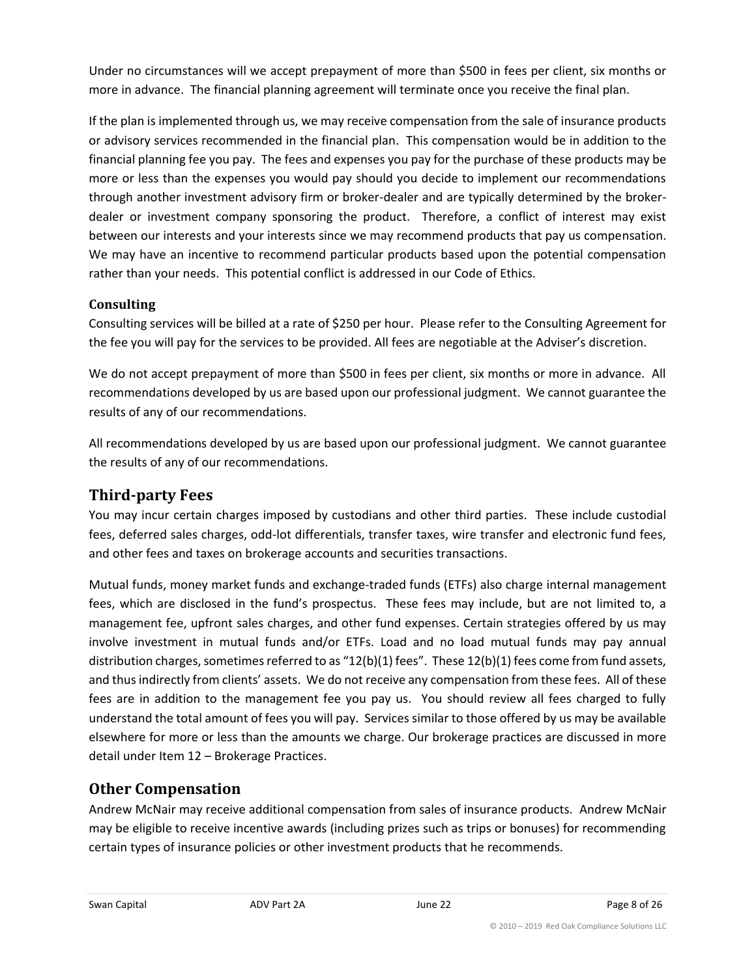Under no circumstances will we accept prepayment of more than \$500 in fees per client, six months or more in advance. The financial planning agreement will terminate once you receive the final plan.

If the plan is implemented through us, we may receive compensation from the sale of insurance products or advisory services recommended in the financial plan. This compensation would be in addition to the financial planning fee you pay. The fees and expenses you pay for the purchase of these products may be more or less than the expenses you would pay should you decide to implement our recommendations through another investment advisory firm or broker-dealer and are typically determined by the brokerdealer or investment company sponsoring the product. Therefore, a conflict of interest may exist between our interests and your interests since we may recommend products that pay us compensation. We may have an incentive to recommend particular products based upon the potential compensation rather than your needs. This potential conflict is addressed in our Code of Ethics.

## **Consulting**

Consulting services will be billed at a rate of \$250 per hour. Please refer to the Consulting Agreement for the fee you will pay for the services to be provided. All fees are negotiable at the Adviser's discretion.

We do not accept prepayment of more than \$500 in fees per client, six months or more in advance. All recommendations developed by us are based upon our professional judgment. We cannot guarantee the results of any of our recommendations.

All recommendations developed by us are based upon our professional judgment. We cannot guarantee the results of any of our recommendations.

## **Third-party Fees**

You may incur certain charges imposed by custodians and other third parties. These include custodial fees, deferred sales charges, odd-lot differentials, transfer taxes, wire transfer and electronic fund fees, and other fees and taxes on brokerage accounts and securities transactions.

Mutual funds, money market funds and exchange-traded funds (ETFs) also charge internal management fees, which are disclosed in the fund's prospectus. These fees may include, but are not limited to, a management fee, upfront sales charges, and other fund expenses. Certain strategies offered by us may involve investment in mutual funds and/or ETFs. Load and no load mutual funds may pay annual distribution charges, sometimes referred to as "12(b)(1) fees". These 12(b)(1) fees come from fund assets, and thus indirectly from clients' assets. We do not receive any compensation from these fees. All of these fees are in addition to the management fee you pay us. You should review all fees charged to fully understand the total amount of fees you will pay. Services similar to those offered by us may be available elsewhere for more or less than the amounts we charge. Our brokerage practices are discussed in more detail under Item 12 – Brokerage Practices.

## **Other Compensation**

Andrew McNair may receive additional compensation from sales of insurance products. Andrew McNair may be eligible to receive incentive awards (including prizes such as trips or bonuses) for recommending certain types of insurance policies or other investment products that he recommends.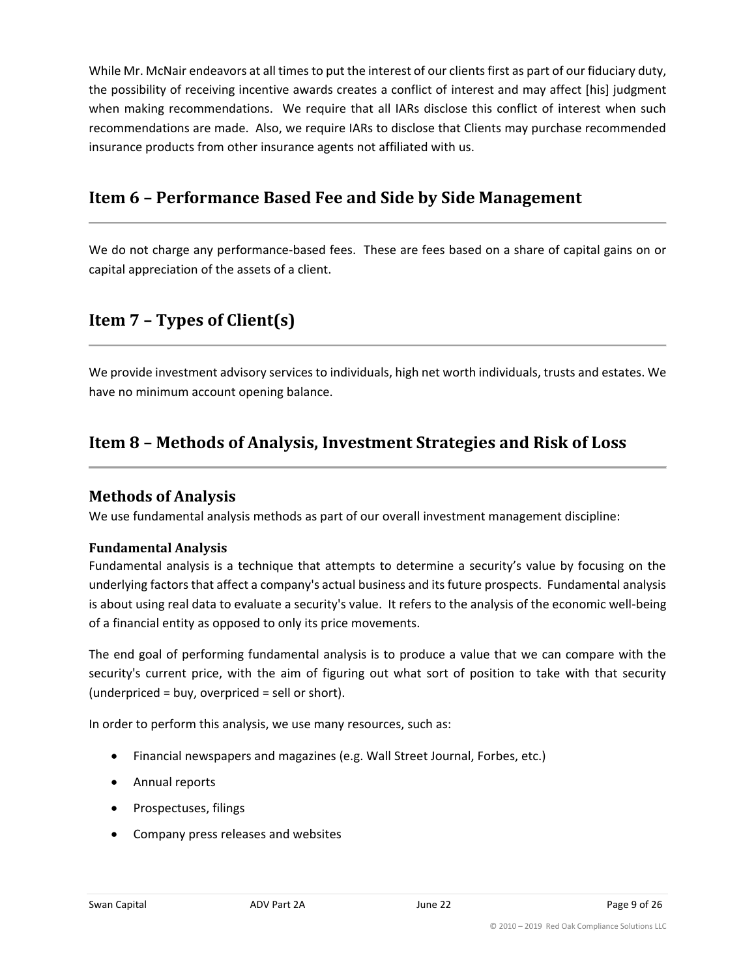While Mr. McNair endeavors at all times to put the interest of our clients first as part of our fiduciary duty, the possibility of receiving incentive awards creates a conflict of interest and may affect [his] judgment when making recommendations. We require that all IARs disclose this conflict of interest when such recommendations are made. Also, we require IARs to disclose that Clients may purchase recommended insurance products from other insurance agents not affiliated with us.

## <span id="page-8-0"></span>**Item 6 – Performance Based Fee and Side by Side Management**

We do not charge any performance-based fees. These are fees based on a share of capital gains on or capital appreciation of the assets of a client.

## <span id="page-8-1"></span>**Item 7 – Types of Client(s)**

We provide investment advisory services to individuals, high net worth individuals, trusts and estates. We have no minimum account opening balance.

## <span id="page-8-2"></span>**Item 8 – Methods of Analysis, Investment Strategies and Risk of Loss**

## **Methods of Analysis**

We use fundamental analysis methods as part of our overall investment management discipline:

#### **Fundamental Analysis**

Fundamental analysis is a technique that attempts to determine a security's value by focusing on the underlying factors that affect a company's actual business and its future prospects. Fundamental analysis is about using real data to evaluate a security's value. It refers to the analysis of the economic well-being of a financial entity as opposed to only its price movements.

The end goal of performing fundamental analysis is to produce a value that we can compare with the security's current price, with the aim of figuring out what sort of position to take with that security (underpriced = buy, overpriced = sell or short).

In order to perform this analysis, we use many resources, such as:

- Financial newspapers and magazines (e.g. Wall Street Journal, Forbes, etc.)
- Annual reports
- Prospectuses, filings
- Company press releases and websites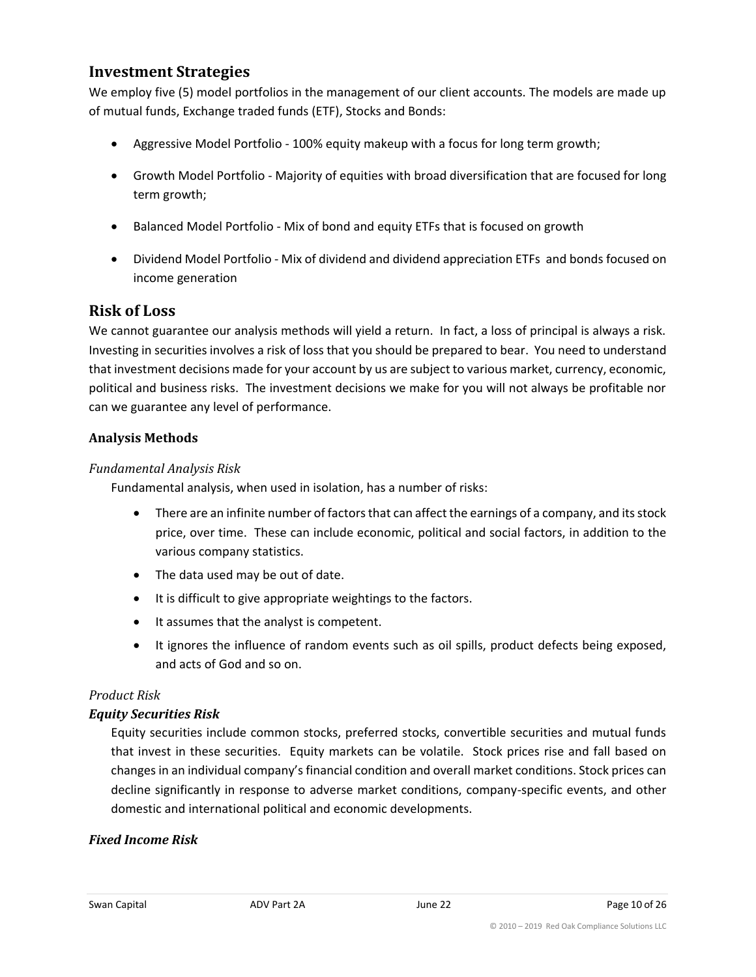## **Investment Strategies**

We employ five (5) model portfolios in the management of our client accounts. The models are made up of mutual funds, Exchange traded funds (ETF), Stocks and Bonds:

- Aggressive Model Portfolio 100% equity makeup with a focus for long term growth;
- Growth Model Portfolio Majority of equities with broad diversification that are focused for long term growth;
- Balanced Model Portfolio Mix of bond and equity ETFs that is focused on growth
- Dividend Model Portfolio Mix of dividend and dividend appreciation ETFs and bonds focused on income generation

## **Risk of Loss**

We cannot guarantee our analysis methods will yield a return. In fact, a loss of principal is always a risk. Investing in securities involves a risk of loss that you should be prepared to bear. You need to understand that investment decisions made for your account by us are subject to various market, currency, economic, political and business risks. The investment decisions we make for you will not always be profitable nor can we guarantee any level of performance.

#### **Analysis Methods**

#### *Fundamental Analysis Risk*

Fundamental analysis, when used in isolation, has a number of risks:

- There are an infinite number of factors that can affect the earnings of a company, and its stock price, over time. These can include economic, political and social factors, in addition to the various company statistics.
- The data used may be out of date.
- It is difficult to give appropriate weightings to the factors.
- It assumes that the analyst is competent.
- It ignores the influence of random events such as oil spills, product defects being exposed, and acts of God and so on.

#### *Product Risk*

#### *Equity Securities Risk*

Equity securities include common stocks, preferred stocks, convertible securities and mutual funds that invest in these securities. Equity markets can be volatile. Stock prices rise and fall based on changes in an individual company's financial condition and overall market conditions. Stock prices can decline significantly in response to adverse market conditions, company-specific events, and other domestic and international political and economic developments.

#### *Fixed Income Risk*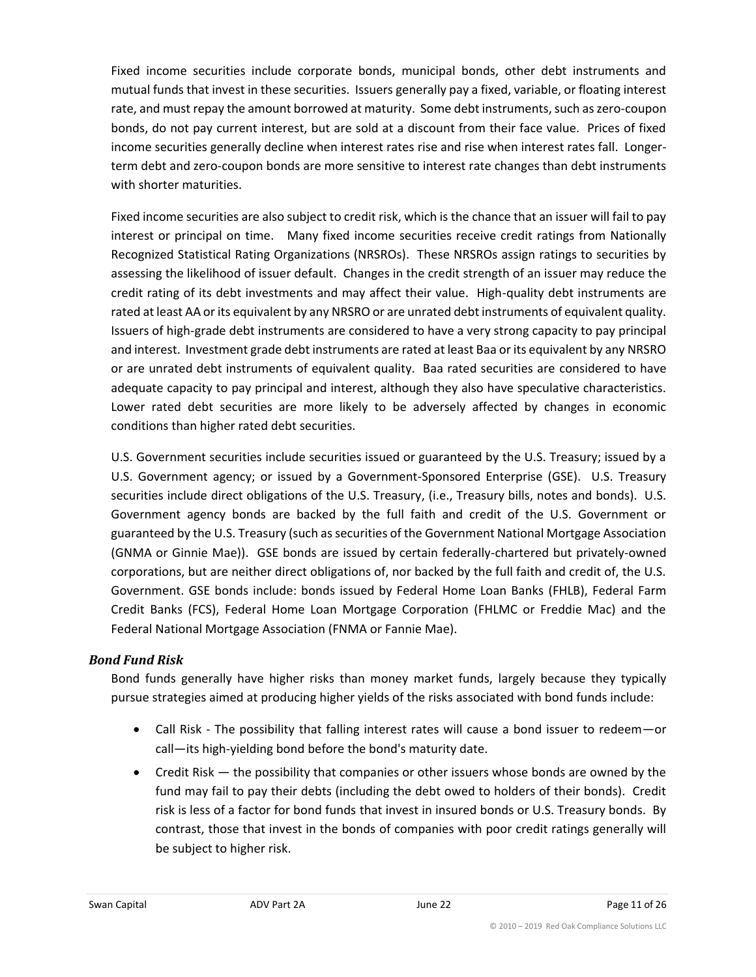Fixed income securities include corporate bonds, municipal bonds, other debt instruments and mutual funds that invest in these securities. Issuers generally pay a fixed, variable, or floating interest rate, and must repay the amount borrowed at maturity. Some debt instruments, such as zero-coupon bonds, do not pay current interest, but are sold at a discount from their face value. Prices of fixed income securities generally decline when interest rates rise and rise when interest rates fall. Longerterm debt and zero-coupon bonds are more sensitive to interest rate changes than debt instruments with shorter maturities.

Fixed income securities are also subject to credit risk, which is the chance that an issuer will fail to pay interest or principal on time. Many fixed income securities receive credit ratings from Nationally Recognized Statistical Rating Organizations (NRSROs). These NRSROs assign ratings to securities by assessing the likelihood of issuer default. Changes in the credit strength of an issuer may reduce the credit rating of its debt investments and may affect their value. High-quality debt instruments are rated at least AA or its equivalent by any NRSRO or are unrated debt instruments of equivalent quality. Issuers of high-grade debt instruments are considered to have a very strong capacity to pay principal and interest. Investment grade debt instruments are rated at least Baa or its equivalent by any NRSRO or are unrated debt instruments of equivalent quality. Baa rated securities are considered to have adequate capacity to pay principal and interest, although they also have speculative characteristics. Lower rated debt securities are more likely to be adversely affected by changes in economic conditions than higher rated debt securities.

U.S. Government securities include securities issued or guaranteed by the U.S. Treasury; issued by a U.S. Government agency; or issued by a Government-Sponsored Enterprise (GSE). U.S. Treasury securities include direct obligations of the U.S. Treasury, (i.e., Treasury bills, notes and bonds). U.S. Government agency bonds are backed by the full faith and credit of the U.S. Government or guaranteed by the U.S. Treasury (such as securities of the Government National Mortgage Association (GNMA or Ginnie Mae)). GSE bonds are issued by certain federally-chartered but privately-owned corporations, but are neither direct obligations of, nor backed by the full faith and credit of, the U.S. Government. GSE bonds include: bonds issued by Federal Home Loan Banks (FHLB), Federal Farm Credit Banks (FCS), Federal Home Loan Mortgage Corporation (FHLMC or Freddie Mac) and the Federal National Mortgage Association (FNMA or Fannie Mae).

#### *Bond Fund Risk*

Bond funds generally have higher risks than money market funds, largely because they typically pursue strategies aimed at producing higher yields of the risks associated with bond funds include:

- Call Risk The possibility that falling interest rates will cause a bond issuer to redeem—or call—its high-yielding bond before the bond's maturity date.
- Credit Risk the possibility that companies or other issuers whose bonds are owned by the fund may fail to pay their debts (including the debt owed to holders of their bonds). Credit risk is less of a factor for bond funds that invest in insured bonds or U.S. Treasury bonds. By contrast, those that invest in the bonds of companies with poor credit ratings generally will be subject to higher risk.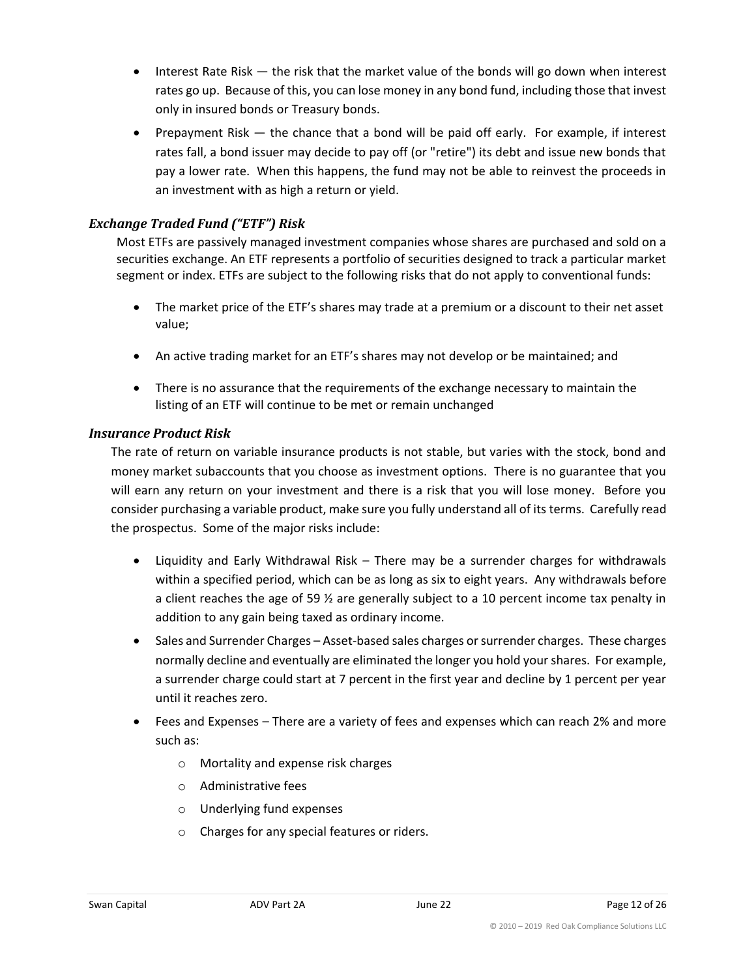- Interest Rate Risk the risk that the market value of the bonds will go down when interest rates go up. Because of this, you can lose money in any bond fund, including those that invest only in insured bonds or Treasury bonds.
- Prepayment Risk the chance that a bond will be paid off early. For example, if interest rates fall, a bond issuer may decide to pay off (or "retire") its debt and issue new bonds that pay a lower rate. When this happens, the fund may not be able to reinvest the proceeds in an investment with as high a return or yield.

## *Exchange Traded Fund ("ETF") Risk*

Most ETFs are passively managed investment companies whose shares are purchased and sold on a securities exchange. An ETF represents a portfolio of securities designed to track a particular market segment or index. ETFs are subject to the following risks that do not apply to conventional funds:

- The market price of the ETF's shares may trade at a premium or a discount to their net asset value;
- An active trading market for an ETF's shares may not develop or be maintained; and
- There is no assurance that the requirements of the exchange necessary to maintain the listing of an ETF will continue to be met or remain unchanged

#### *Insurance Product Risk*

The rate of return on variable insurance products is not stable, but varies with the stock, bond and money market subaccounts that you choose as investment options. There is no guarantee that you will earn any return on your investment and there is a risk that you will lose money. Before you consider purchasing a variable product, make sure you fully understand all of its terms. Carefully read the prospectus. Some of the major risks include:

- Liquidity and Early Withdrawal Risk There may be a surrender charges for withdrawals within a specified period, which can be as long as six to eight years. Any withdrawals before a client reaches the age of 59  $\frac{1}{2}$  are generally subject to a 10 percent income tax penalty in addition to any gain being taxed as ordinary income.
- Sales and Surrender Charges Asset-based sales charges or surrender charges. These charges normally decline and eventually are eliminated the longer you hold your shares. For example, a surrender charge could start at 7 percent in the first year and decline by 1 percent per year until it reaches zero.
- Fees and Expenses There are a variety of fees and expenses which can reach 2% and more such as:
	- o Mortality and expense risk charges
	- o Administrative fees
	- o Underlying fund expenses
	- o Charges for any special features or riders.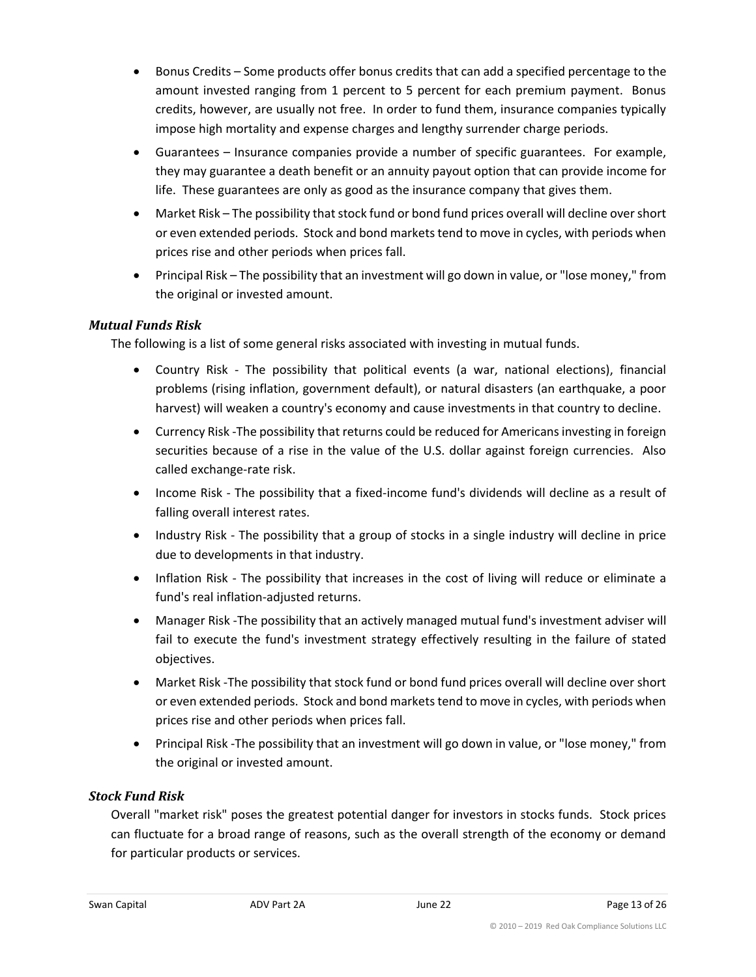- Bonus Credits Some products offer bonus credits that can add a specified percentage to the amount invested ranging from 1 percent to 5 percent for each premium payment. Bonus credits, however, are usually not free. In order to fund them, insurance companies typically impose high mortality and expense charges and lengthy surrender charge periods.
- Guarantees Insurance companies provide a number of specific guarantees. For example, they may guarantee a death benefit or an annuity payout option that can provide income for life. These guarantees are only as good as the insurance company that gives them.
- Market Risk The possibility that stock fund or bond fund prices overall will decline over short or even extended periods. Stock and bond markets tend to move in cycles, with periods when prices rise and other periods when prices fall.
- Principal Risk The possibility that an investment will go down in value, or "lose money," from the original or invested amount.

#### *Mutual Funds Risk*

The following is a list of some general risks associated with investing in mutual funds.

- Country Risk The possibility that political events (a war, national elections), financial problems (rising inflation, government default), or natural disasters (an earthquake, a poor harvest) will weaken a country's economy and cause investments in that country to decline.
- Currency Risk -The possibility that returns could be reduced for Americans investing in foreign securities because of a rise in the value of the U.S. dollar against foreign currencies. Also called exchange-rate risk.
- Income Risk The possibility that a fixed-income fund's dividends will decline as a result of falling overall interest rates.
- Industry Risk The possibility that a group of stocks in a single industry will decline in price due to developments in that industry.
- Inflation Risk The possibility that increases in the cost of living will reduce or eliminate a fund's real inflation-adjusted returns.
- Manager Risk -The possibility that an actively managed mutual fund's investment adviser will fail to execute the fund's investment strategy effectively resulting in the failure of stated objectives.
- Market Risk -The possibility that stock fund or bond fund prices overall will decline over short or even extended periods. Stock and bond markets tend to move in cycles, with periods when prices rise and other periods when prices fall.
- Principal Risk -The possibility that an investment will go down in value, or "lose money," from the original or invested amount.

#### *Stock Fund Risk*

Overall "market risk" poses the greatest potential danger for investors in stocks funds. Stock prices can fluctuate for a broad range of reasons, such as the overall strength of the economy or demand for particular products or services.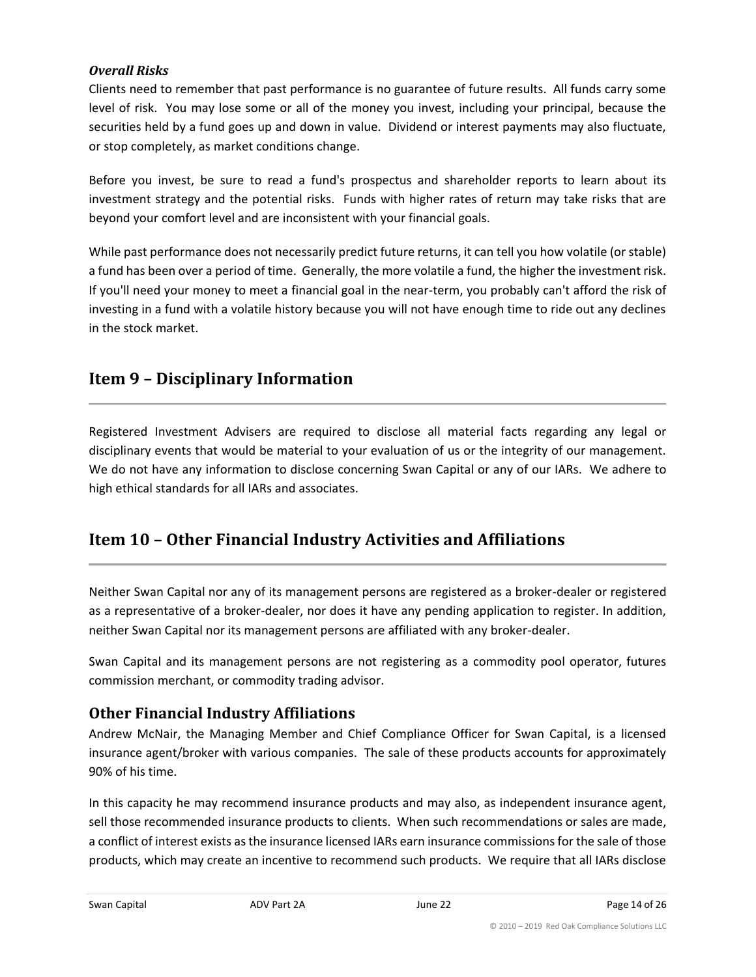#### *Overall Risks*

Clients need to remember that past performance is no guarantee of future results. All funds carry some level of risk. You may lose some or all of the money you invest, including your principal, because the securities held by a fund goes up and down in value. Dividend or interest payments may also fluctuate, or stop completely, as market conditions change.

Before you invest, be sure to read a fund's prospectus and shareholder reports to learn about its investment strategy and the potential risks. Funds with higher rates of return may take risks that are beyond your comfort level and are inconsistent with your financial goals.

While past performance does not necessarily predict future returns, it can tell you how volatile (or stable) a fund has been over a period of time. Generally, the more volatile a fund, the higher the investment risk. If you'll need your money to meet a financial goal in the near-term, you probably can't afford the risk of investing in a fund with a volatile history because you will not have enough time to ride out any declines in the stock market.

## <span id="page-13-0"></span>**Item 9 – Disciplinary Information**

Registered Investment Advisers are required to disclose all material facts regarding any legal or disciplinary events that would be material to your evaluation of us or the integrity of our management. We do not have any information to disclose concerning Swan Capital or any of our IARs. We adhere to high ethical standards for all IARs and associates.

## <span id="page-13-1"></span>**Item 10 – Other Financial Industry Activities and Affiliations**

Neither Swan Capital nor any of its management persons are registered as a broker-dealer or registered as a representative of a broker-dealer, nor does it have any pending application to register. In addition, neither Swan Capital nor its management persons are affiliated with any broker-dealer.

Swan Capital and its management persons are not registering as a commodity pool operator, futures commission merchant, or commodity trading advisor.

## **Other Financial Industry Affiliations**

Andrew McNair, the Managing Member and Chief Compliance Officer for Swan Capital, is a licensed insurance agent/broker with various companies. The sale of these products accounts for approximately 90% of his time.

In this capacity he may recommend insurance products and may also, as independent insurance agent, sell those recommended insurance products to clients. When such recommendations or sales are made, a conflict of interest exists as the insurance licensed IARs earn insurance commissions for the sale of those products, which may create an incentive to recommend such products. We require that all IARs disclose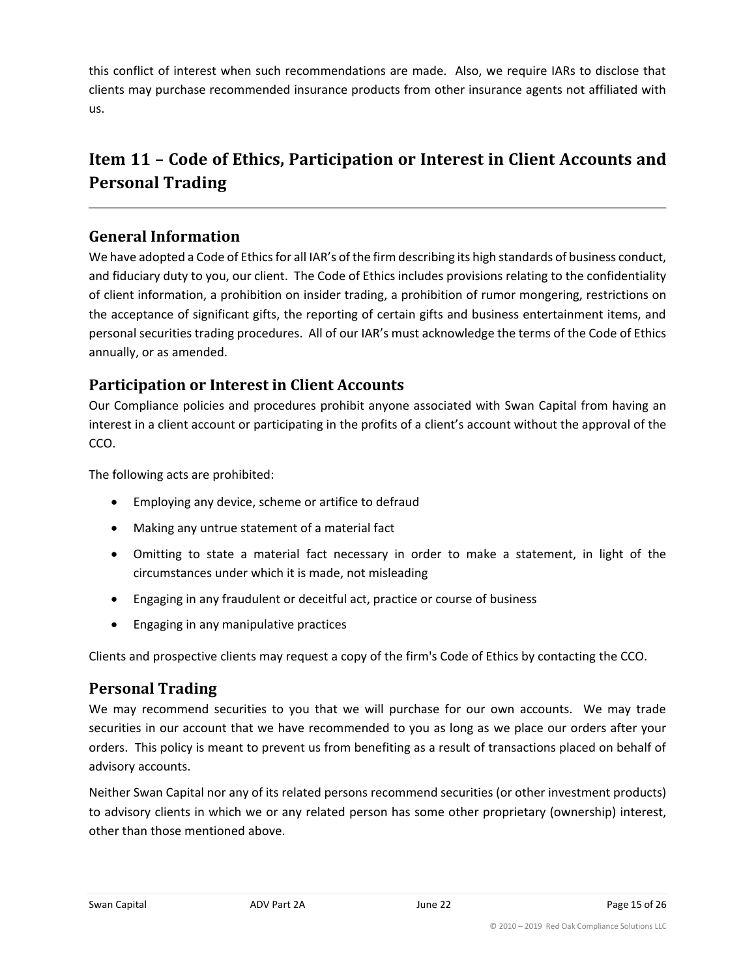this conflict of interest when such recommendations are made. Also, we require IARs to disclose that clients may purchase recommended insurance products from other insurance agents not affiliated with us.

## <span id="page-14-0"></span>**Item 11 – Code of Ethics, Participation or Interest in Client Accounts and Personal Trading**

## **General Information**

We have adopted a Code of Ethics for all IAR's of the firm describing its high standards of business conduct, and fiduciary duty to you, our client. The Code of Ethics includes provisions relating to the confidentiality of client information, a prohibition on insider trading, a prohibition of rumor mongering, restrictions on the acceptance of significant gifts, the reporting of certain gifts and business entertainment items, and personal securities trading procedures. All of our IAR's must acknowledge the terms of the Code of Ethics annually, or as amended.

## **Participation or Interest in Client Accounts**

Our Compliance policies and procedures prohibit anyone associated with Swan Capital from having an interest in a client account or participating in the profits of a client's account without the approval of the CCO.

The following acts are prohibited:

- Employing any device, scheme or artifice to defraud
- Making any untrue statement of a material fact
- Omitting to state a material fact necessary in order to make a statement, in light of the circumstances under which it is made, not misleading
- Engaging in any fraudulent or deceitful act, practice or course of business
- Engaging in any manipulative practices

Clients and prospective clients may request a copy of the firm's Code of Ethics by contacting the CCO.

## **Personal Trading**

We may recommend securities to you that we will purchase for our own accounts. We may trade securities in our account that we have recommended to you as long as we place our orders after your orders. This policy is meant to prevent us from benefiting as a result of transactions placed on behalf of advisory accounts.

Neither Swan Capital nor any of its related persons recommend securities (or other investment products) to advisory clients in which we or any related person has some other proprietary (ownership) interest, other than those mentioned above.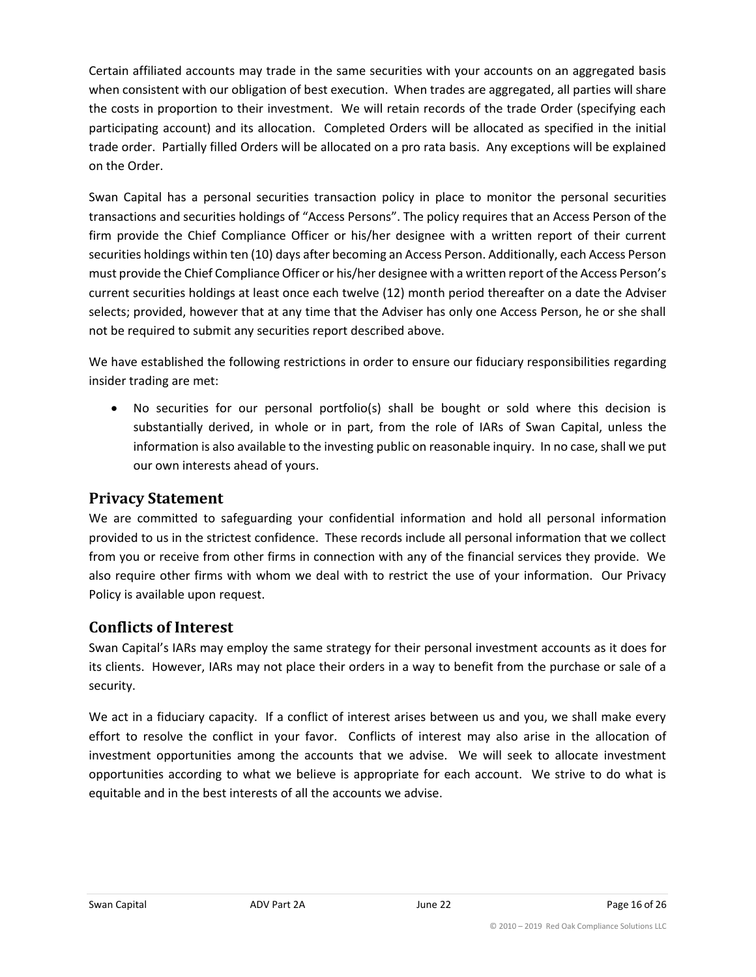Certain affiliated accounts may trade in the same securities with your accounts on an aggregated basis when consistent with our obligation of best execution. When trades are aggregated, all parties will share the costs in proportion to their investment. We will retain records of the trade Order (specifying each participating account) and its allocation. Completed Orders will be allocated as specified in the initial trade order. Partially filled Orders will be allocated on a pro rata basis. Any exceptions will be explained on the Order.

Swan Capital has a personal securities transaction policy in place to monitor the personal securities transactions and securities holdings of "Access Persons". The policy requires that an Access Person of the firm provide the Chief Compliance Officer or his/her designee with a written report of their current securities holdings within ten (10) days after becoming an Access Person. Additionally, each Access Person must provide the Chief Compliance Officer or his/her designee with a written report of the Access Person's current securities holdings at least once each twelve (12) month period thereafter on a date the Adviser selects; provided, however that at any time that the Adviser has only one Access Person, he or she shall not be required to submit any securities report described above.

We have established the following restrictions in order to ensure our fiduciary responsibilities regarding insider trading are met:

• No securities for our personal portfolio(s) shall be bought or sold where this decision is substantially derived, in whole or in part, from the role of IARs of Swan Capital, unless the information is also available to the investing public on reasonable inquiry. In no case, shall we put our own interests ahead of yours.

## **Privacy Statement**

We are committed to safeguarding your confidential information and hold all personal information provided to us in the strictest confidence. These records include all personal information that we collect from you or receive from other firms in connection with any of the financial services they provide. We also require other firms with whom we deal with to restrict the use of your information. Our Privacy Policy is available upon request.

## **Conflicts of Interest**

Swan Capital's IARs may employ the same strategy for their personal investment accounts as it does for its clients. However, IARs may not place their orders in a way to benefit from the purchase or sale of a security.

We act in a fiduciary capacity. If a conflict of interest arises between us and you, we shall make every effort to resolve the conflict in your favor. Conflicts of interest may also arise in the allocation of investment opportunities among the accounts that we advise. We will seek to allocate investment opportunities according to what we believe is appropriate for each account. We strive to do what is equitable and in the best interests of all the accounts we advise.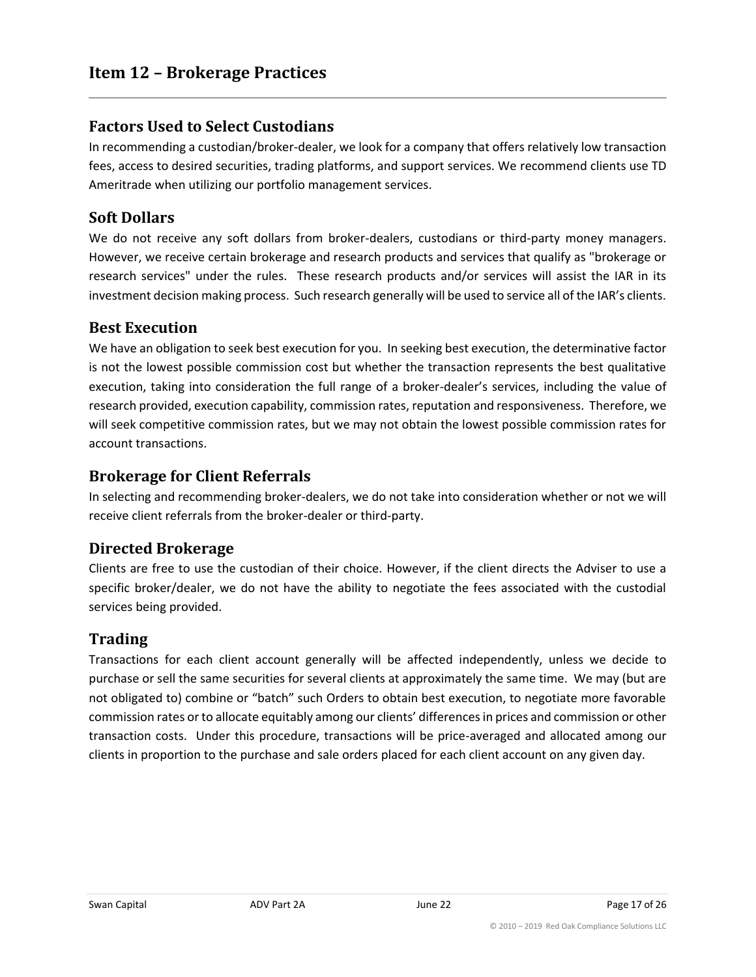## <span id="page-16-0"></span>**Factors Used to Select Custodians**

In recommending a custodian/broker-dealer, we look for a company that offers relatively low transaction fees, access to desired securities, trading platforms, and support services. We recommend clients use TD Ameritrade when utilizing our portfolio management services.

## **Soft Dollars**

We do not receive any soft dollars from broker-dealers, custodians or third-party money managers. However, we receive certain brokerage and research products and services that qualify as "brokerage or research services" under the rules. These research products and/or services will assist the IAR in its investment decision making process. Such research generally will be used to service all of the IAR's clients.

#### **Best Execution**

We have an obligation to seek best execution for you. In seeking best execution, the determinative factor is not the lowest possible commission cost but whether the transaction represents the best qualitative execution, taking into consideration the full range of a broker-dealer's services, including the value of research provided, execution capability, commission rates, reputation and responsiveness. Therefore, we will seek competitive commission rates, but we may not obtain the lowest possible commission rates for account transactions.

## **Brokerage for Client Referrals**

In selecting and recommending broker-dealers, we do not take into consideration whether or not we will receive client referrals from the broker-dealer or third-party.

#### **Directed Brokerage**

Clients are free to use the custodian of their choice. However, if the client directs the Adviser to use a specific broker/dealer, we do not have the ability to negotiate the fees associated with the custodial services being provided.

## **Trading**

Transactions for each client account generally will be affected independently, unless we decide to purchase or sell the same securities for several clients at approximately the same time. We may (but are not obligated to) combine or "batch" such Orders to obtain best execution, to negotiate more favorable commission rates or to allocate equitably among our clients' differences in prices and commission or other transaction costs. Under this procedure, transactions will be price-averaged and allocated among our clients in proportion to the purchase and sale orders placed for each client account on any given day.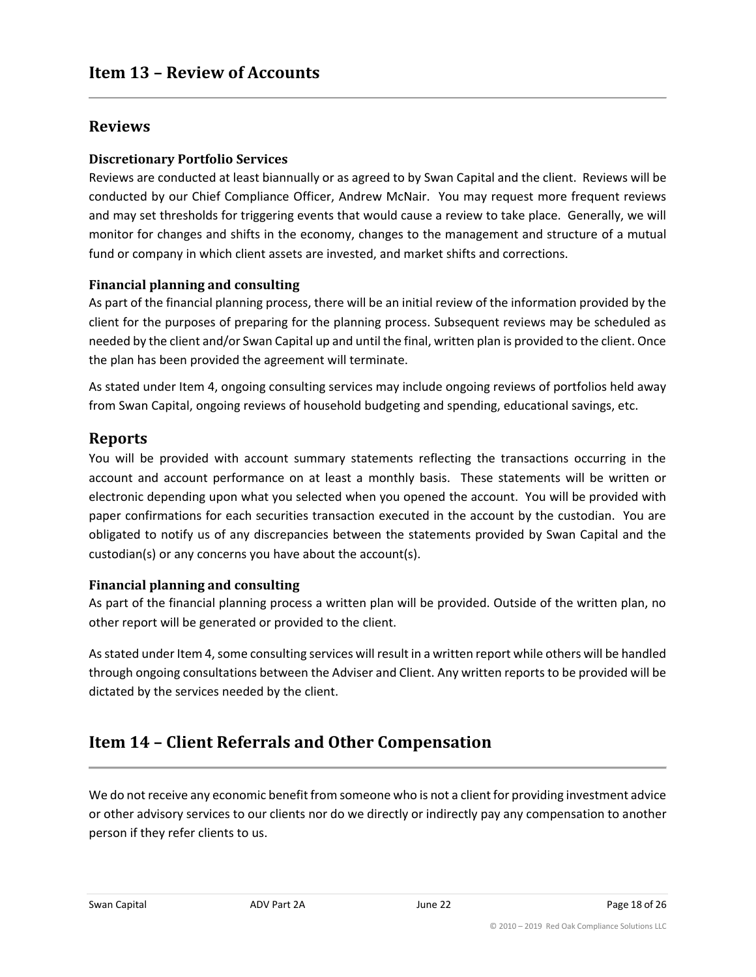## <span id="page-17-0"></span>**Reviews**

#### **Discretionary Portfolio Services**

Reviews are conducted at least biannually or as agreed to by Swan Capital and the client. Reviews will be conducted by our Chief Compliance Officer, Andrew McNair. You may request more frequent reviews and may set thresholds for triggering events that would cause a review to take place. Generally, we will monitor for changes and shifts in the economy, changes to the management and structure of a mutual fund or company in which client assets are invested, and market shifts and corrections.

#### **Financial planning and consulting**

As part of the financial planning process, there will be an initial review of the information provided by the client for the purposes of preparing for the planning process. Subsequent reviews may be scheduled as needed by the client and/or Swan Capital up and until the final, written plan is provided to the client. Once the plan has been provided the agreement will terminate.

As stated under Item 4, ongoing consulting services may include ongoing reviews of portfolios held away from Swan Capital, ongoing reviews of household budgeting and spending, educational savings, etc.

## **Reports**

You will be provided with account summary statements reflecting the transactions occurring in the account and account performance on at least a monthly basis. These statements will be written or electronic depending upon what you selected when you opened the account. You will be provided with paper confirmations for each securities transaction executed in the account by the custodian. You are obligated to notify us of any discrepancies between the statements provided by Swan Capital and the custodian(s) or any concerns you have about the account(s).

#### **Financial planning and consulting**

As part of the financial planning process a written plan will be provided. Outside of the written plan, no other report will be generated or provided to the client.

As stated under Item 4, some consulting services will result in a written report while others will be handled through ongoing consultations between the Adviser and Client. Any written reports to be provided will be dictated by the services needed by the client.

## <span id="page-17-1"></span>**Item 14 – Client Referrals and Other Compensation**

We do not receive any economic benefit from someone who is not a client for providing investment advice or other advisory services to our clients nor do we directly or indirectly pay any compensation to another person if they refer clients to us.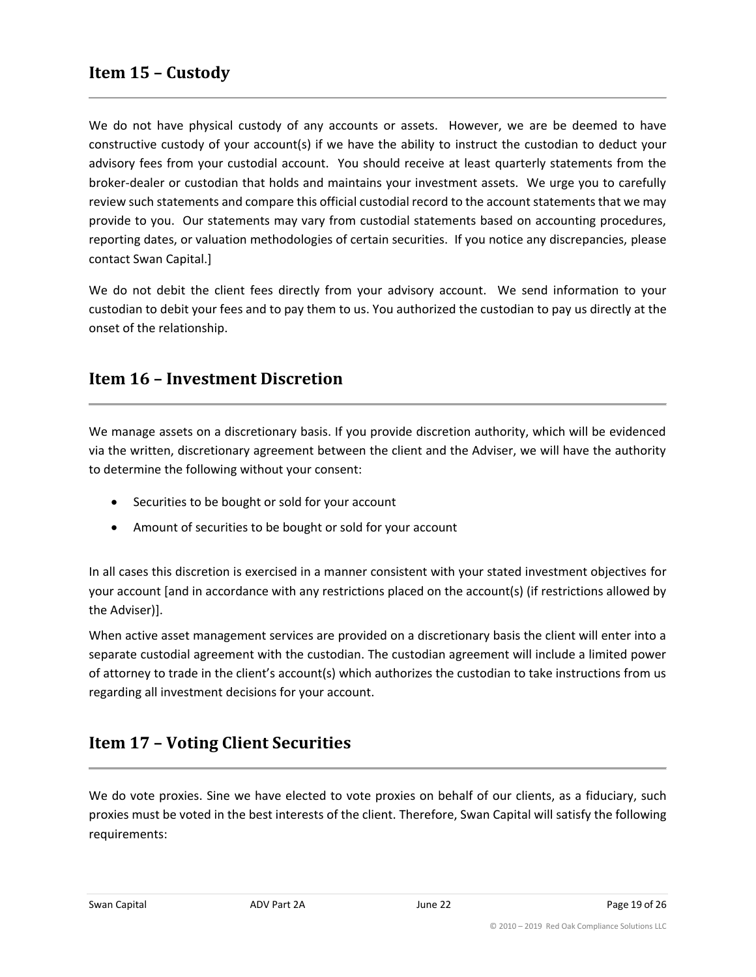<span id="page-18-0"></span>We do not have physical custody of any accounts or assets. However, we are be deemed to have constructive custody of your account(s) if we have the ability to instruct the custodian to deduct your advisory fees from your custodial account. You should receive at least quarterly statements from the broker-dealer or custodian that holds and maintains your investment assets. We urge you to carefully review such statements and compare this official custodial record to the account statements that we may provide to you. Our statements may vary from custodial statements based on accounting procedures, reporting dates, or valuation methodologies of certain securities. If you notice any discrepancies, please contact Swan Capital.]

We do not debit the client fees directly from your advisory account. We send information to your custodian to debit your fees and to pay them to us. You authorized the custodian to pay us directly at the onset of the relationship.

## <span id="page-18-1"></span>**Item 16 – Investment Discretion**

We manage assets on a discretionary basis. If you provide discretion authority, which will be evidenced via the written, discretionary agreement between the client and the Adviser, we will have the authority to determine the following without your consent:

- Securities to be bought or sold for your account
- Amount of securities to be bought or sold for your account

In all cases this discretion is exercised in a manner consistent with your stated investment objectives for your account [and in accordance with any restrictions placed on the account(s) (if restrictions allowed by the Adviser)].

When active asset management services are provided on a discretionary basis the client will enter into a separate custodial agreement with the custodian. The custodian agreement will include a limited power of attorney to trade in the client's account(s) which authorizes the custodian to take instructions from us regarding all investment decisions for your account.

## <span id="page-18-2"></span>**Item 17 – Voting Client Securities**

We do vote proxies. Sine we have elected to vote proxies on behalf of our clients, as a fiduciary, such proxies must be voted in the best interests of the client. Therefore, Swan Capital will satisfy the following requirements: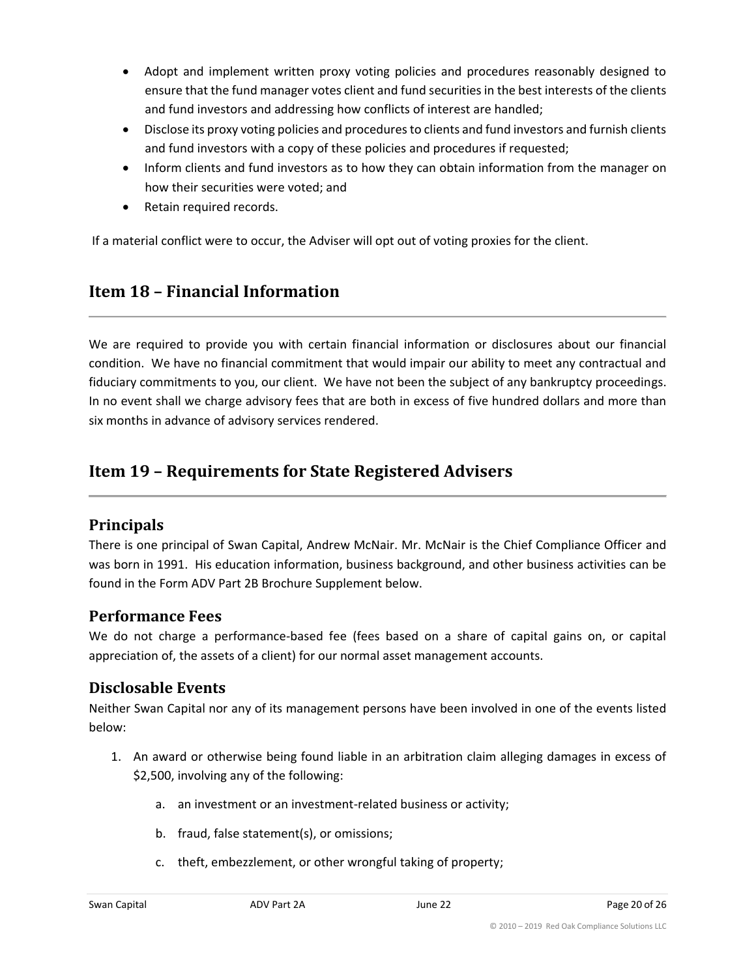- Adopt and implement written proxy voting policies and procedures reasonably designed to ensure that the fund manager votes client and fund securities in the best interests of the clients and fund investors and addressing how conflicts of interest are handled;
- Disclose its proxy voting policies and procedures to clients and fund investors and furnish clients and fund investors with a copy of these policies and procedures if requested;
- Inform clients and fund investors as to how they can obtain information from the manager on how their securities were voted; and
- Retain required records.

If a material conflict were to occur, the Adviser will opt out of voting proxies for the client.

## <span id="page-19-0"></span>**Item 18 – Financial Information**

We are required to provide you with certain financial information or disclosures about our financial condition. We have no financial commitment that would impair our ability to meet any contractual and fiduciary commitments to you, our client. We have not been the subject of any bankruptcy proceedings. In no event shall we charge advisory fees that are both in excess of five hundred dollars and more than six months in advance of advisory services rendered.

## <span id="page-19-1"></span>**Item 19 – Requirements for State Registered Advisers**

## **Principals**

There is one principal of Swan Capital, Andrew McNair. Mr. McNair is the Chief Compliance Officer and was born in 1991. His education information, business background, and other business activities can be found in the Form ADV Part 2B Brochure Supplement below.

## **Performance Fees**

We do not charge a performance-based fee (fees based on a share of capital gains on, or capital appreciation of, the assets of a client) for our normal asset management accounts.

## **Disclosable Events**

Neither Swan Capital nor any of its management persons have been involved in one of the events listed below:

- 1. An award or otherwise being found liable in an arbitration claim alleging damages in excess of \$2,500, involving any of the following:
	- a. an investment or an investment-related business or activity;
	- b. fraud, false statement(s), or omissions;
	- c. theft, embezzlement, or other wrongful taking of property;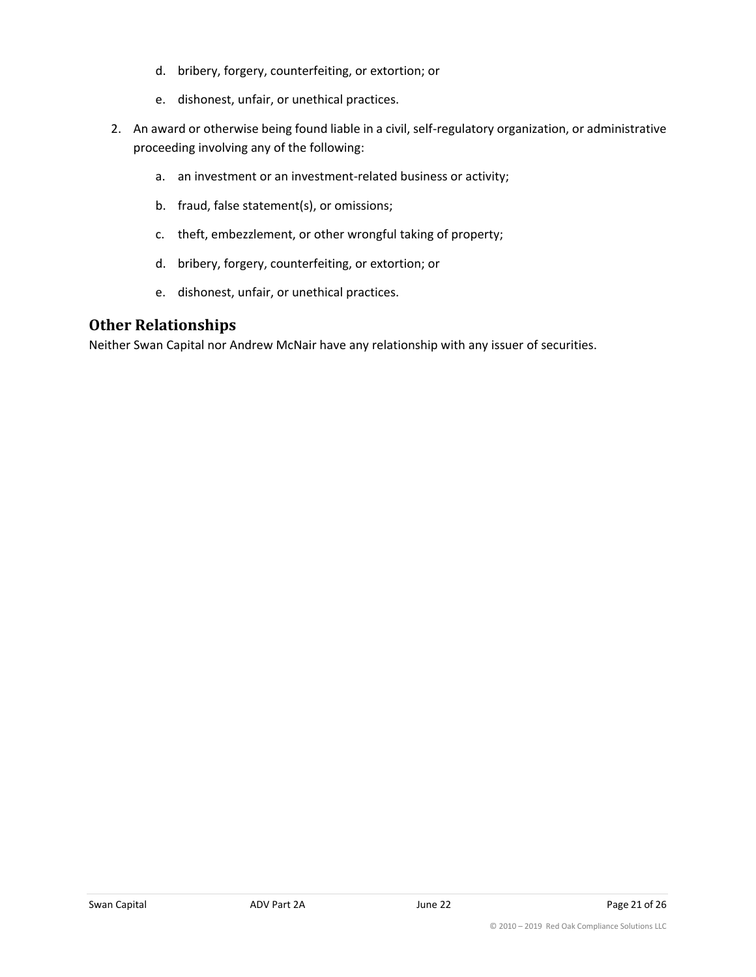- d. bribery, forgery, counterfeiting, or extortion; or
- e. dishonest, unfair, or unethical practices.
- 2. An award or otherwise being found liable in a civil, self-regulatory organization, or administrative proceeding involving any of the following:
	- a. an investment or an investment-related business or activity;
	- b. fraud, false statement(s), or omissions;
	- c. theft, embezzlement, or other wrongful taking of property;
	- d. bribery, forgery, counterfeiting, or extortion; or
	- e. dishonest, unfair, or unethical practices.

## **Other Relationships**

Neither Swan Capital nor Andrew McNair have any relationship with any issuer of securities.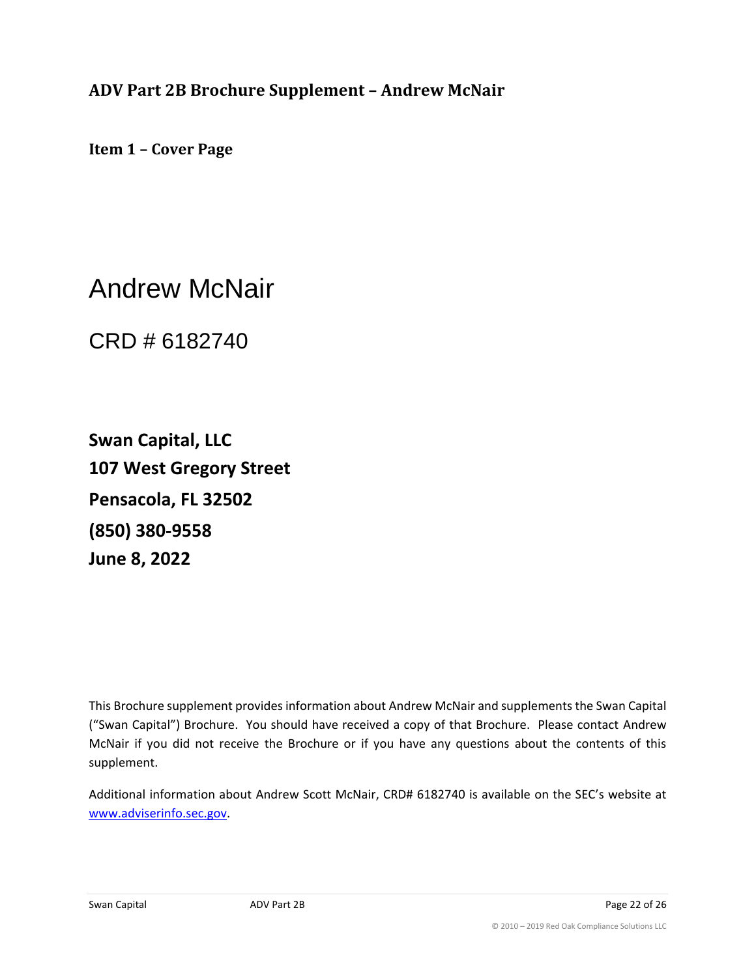<span id="page-21-0"></span>**ADV Part 2B Brochure Supplement – Andrew McNair**

**Item 1 – Cover Page**

Andrew McNair

CRD # 6182740

**Swan Capital, LLC 107 West Gregory Street Pensacola, FL 32502 (850) 380-9558 June 8, 2022**

This Brochure supplement provides information about Andrew McNair and supplements the Swan Capital ("Swan Capital") Brochure. You should have received a copy of that Brochure. Please contact Andrew McNair if you did not receive the Brochure or if you have any questions about the contents of this supplement.

Additional information about Andrew Scott McNair, CRD# 6182740 is available on the SEC's website at [www.adviserinfo.sec.gov.](http://www.adviserinfo.sec.gov/)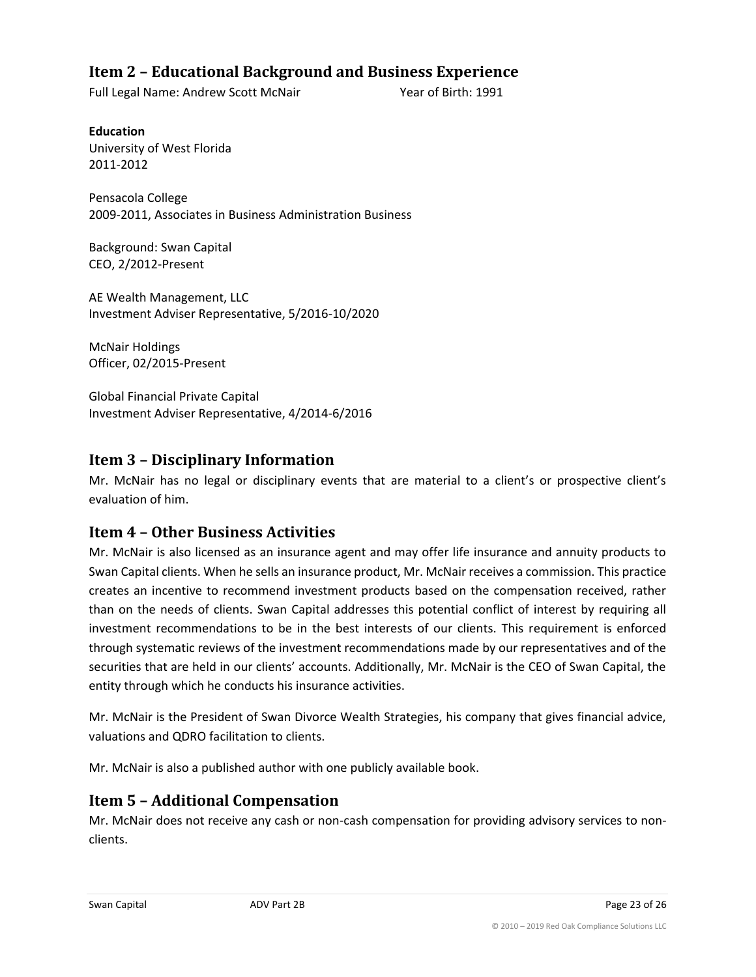## **Item 2 – Educational Background and Business Experience**

Full Legal Name: Andrew Scott McNair Year of Birth: 1991

**Education** University of West Florida 2011-2012

Pensacola College 2009-2011, Associates in Business Administration Business

Background: Swan Capital CEO, 2/2012-Present

AE Wealth Management, LLC Investment Adviser Representative, 5/2016-10/2020

McNair Holdings Officer, 02/2015-Present

Global Financial Private Capital Investment Adviser Representative, 4/2014-6/2016

## **Item 3 – Disciplinary Information**

Mr. McNair has no legal or disciplinary events that are material to a client's or prospective client's evaluation of him.

## **Item 4 – Other Business Activities**

Mr. McNair is also licensed as an insurance agent and may offer life insurance and annuity products to Swan Capital clients. When he sells an insurance product, Mr. McNair receives a commission. This practice creates an incentive to recommend investment products based on the compensation received, rather than on the needs of clients. Swan Capital addresses this potential conflict of interest by requiring all investment recommendations to be in the best interests of our clients. This requirement is enforced through systematic reviews of the investment recommendations made by our representatives and of the securities that are held in our clients' accounts. Additionally, Mr. McNair is the CEO of Swan Capital, the entity through which he conducts his insurance activities.

Mr. McNair is the President of Swan Divorce Wealth Strategies, his company that gives financial advice, valuations and QDRO facilitation to clients.

Mr. McNair is also a published author with one publicly available book.

## **Item 5 – Additional Compensation**

Mr. McNair does not receive any cash or non-cash compensation for providing advisory services to nonclients.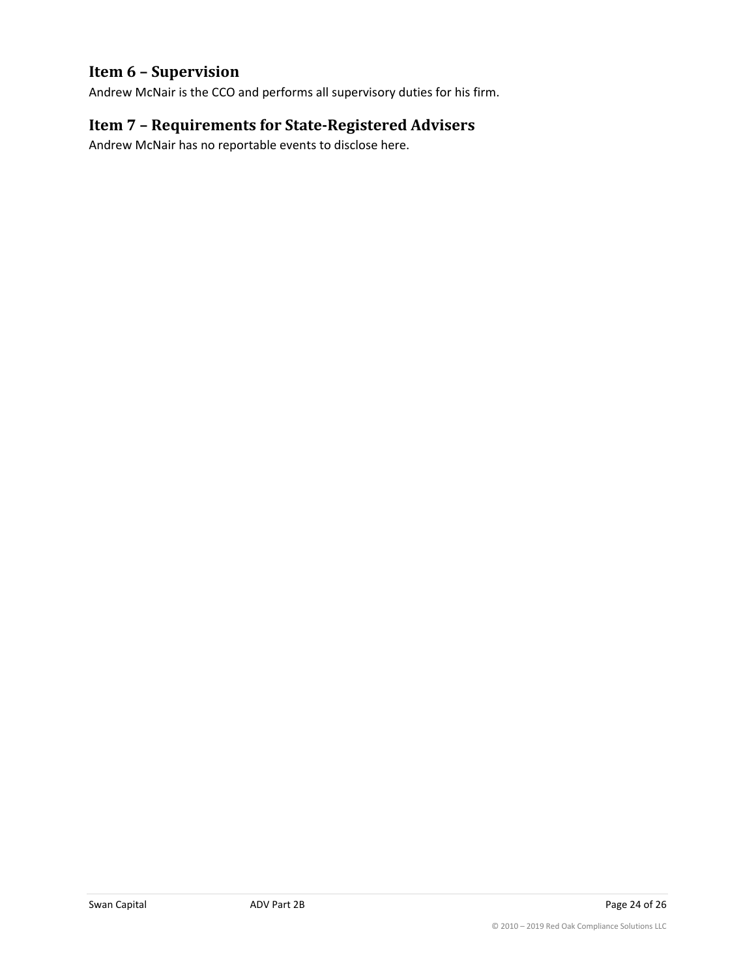## **Item 6 – Supervision**

Andrew McNair is the CCO and performs all supervisory duties for his firm.

## **Item 7 – Requirements for State-Registered Advisers**

Andrew McNair has no reportable events to disclose here.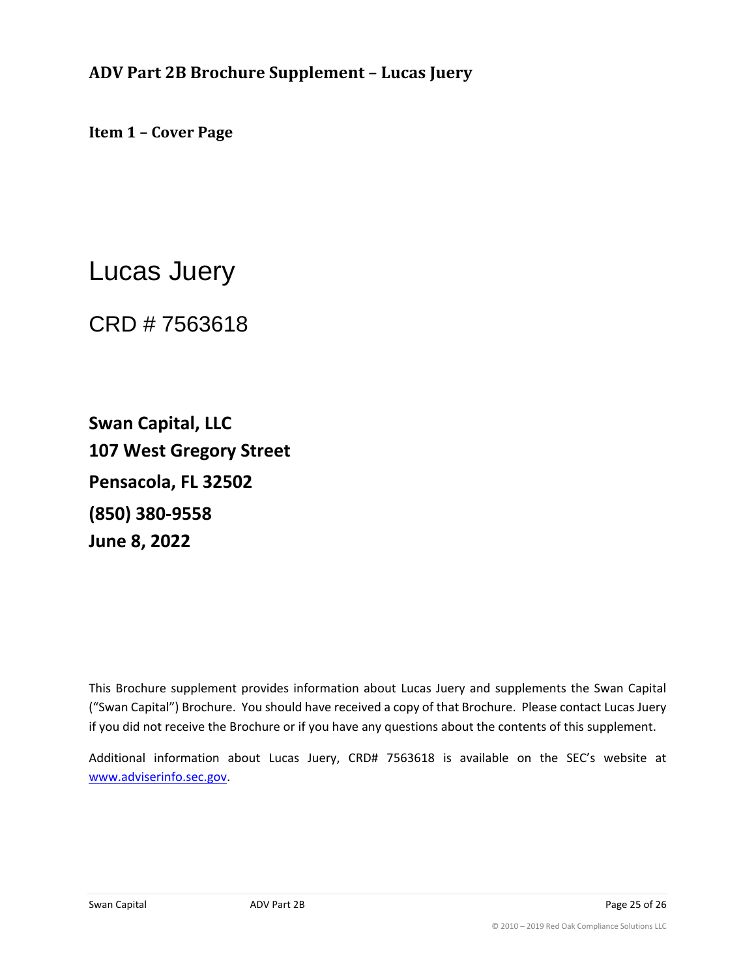<span id="page-24-0"></span>**ADV Part 2B Brochure Supplement – Lucas Juery**

**Item 1 – Cover Page**

Lucas Juery

CRD # 7563618

**Swan Capital, LLC 107 West Gregory Street Pensacola, FL 32502 (850) 380-9558 June 8, 2022**

This Brochure supplement provides information about Lucas Juery and supplements the Swan Capital ("Swan Capital") Brochure. You should have received a copy of that Brochure. Please contact Lucas Juery if you did not receive the Brochure or if you have any questions about the contents of this supplement.

Additional information about Lucas Juery, CRD# 7563618 is available on the SEC's website at www.adviserinfo.sec.gov.